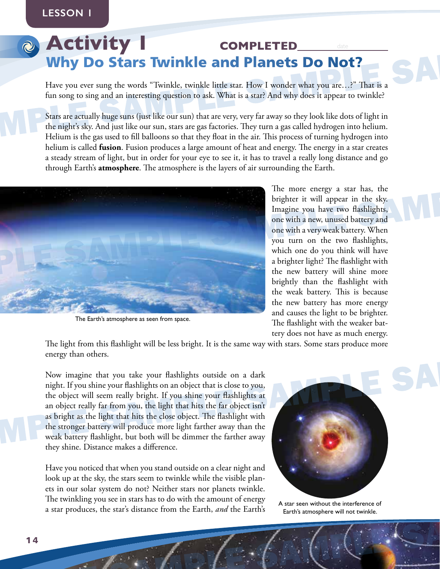# **CHIVITY COMPLETED**<br> **SAMPLE SAMPLE SAMPLE SAMPLE SAMPLE SAMPLE SAMPLE SAMPLE SAMPLE SAMPLE SAMPLE SAMPLE SAMPLE SAMPLE SAMPLE SAMPLE SAMPLE SAMPLE SAMPLE SAMPLE SAMPLE SAMPLE SAMPLE SAMPLE SAMPLE SAMPLE SAMPLE SAMPLE SAMP Activity COMPLETED\_** Why Do Stars Twinkle and Planets Do Not?

Have you ever sung the words "Twinkle, twinkle little star. How I wonder what you are…?" That is a fun song to sing and an interesting question to ask. What is a star? And why does it appear to twinkle?

Stars are actually huge suns (just like our sun) that are very, very far away so they look like dots of light in the night's sky. And just like our sun, stars are gas factories. They turn a gas called hydrogen into helium. Helium is the gas used to fill balloons so that they float in the air. This process of turning hydrogen into helium is called **fusion**. Fusion produces a large amount of heat and energy. The energy in a star creates a steady stream of light, but in order for your eye to see it, it has to travel a really long distance and go through Earth's **atmosphere**. The atmosphere is the layers of air surrounding the Earth.



The Earth's atmosphere as seen from space.

The more energy a star has, the brighter it will appear in the sky. Imagine you have two flashlights, one with a new, unused battery and one with a very weak battery. When you turn on the two flashlights, which one do you think will have a brighter light? The flashlight with the new battery will shine more brightly than the flashlight with the weak battery. This is because the new battery has more energy and causes the light to be brighter. The flashlight with the weaker battery does not have as much energy.

The light from this flashlight will be less bright. It is the same way with stars. Some stars produce more energy than others.

The Earth's amosphere as seen from space.<br>
The Earth's amosphere as seen from space.<br>
The flashlight will be less bright. It is the same way with stars. Some stars produce more<br>
energy than others.<br>
Now imagine that you ta Now imagine that you take your flashlights outside on a dark night. If you shine your flashlights on an object that is close to you, the object will seem really bright. If you shine your flashlights at an object really far from you, the light that hits the far object isn't as bright as the light that hits the close object. The flashlight with the stronger battery will produce more light farther away than the weak battery flashlight, but both will be dimmer the farther away they shine. Distance makes a difference.

Have you noticed that when you stand outside on a clear night and<br>look up at the sky, the stars seem to twinkle while the visible plan-<br>ets in our solar system do not? Neither stars nor planets twinkle.<br>The twinkling you s Have you noticed that when you stand outside on a clear night and look up at the sky, the stars seem to twinkle while the visible planets in our solar system do not? Neither stars nor planets twinkle. The twinkling you see in stars has to do with the amount of energy a star produces, the star's distance from the Earth, *and* the Earth's



A star seen without the interference of Earth's atmosphere will not twinkle.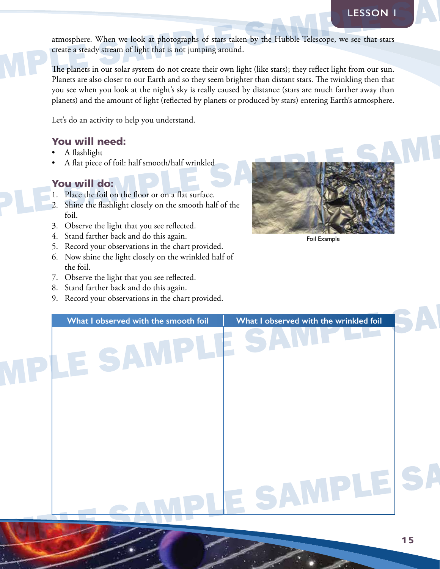atmosphere. When we look at photographs of stars taken by the Hubble Telescope, we see that stars create a steady stream of light that is not jumping around.

atmosphere. When we look at photographs of stars taken by the Hubble Telescope, we see that stars<br>create a steady stream of light that is not jumping around.<br>The planets in our solar system do not create their own light (l The planets in our solar system do not create their own light (like stars); they reflect light from our sun. Planets are also closer to our Earth and so they seem brighter than distant stars. The twinkling then that you see when you look at the night's sky is really caused by distance (stars are much farther away than planets) and the amount of light (reflected by planets or produced by stars) entering Earth's atmosphere.

Let's do an activity to help you understand.

#### You will need:

- A flashlight
- A flat piece of foil: half smooth/half wrinkled

## You will do:

- 1. Place the foil on the floor or on a flat surface.
- 2. Shine the flashlight closely on the smooth half of the foil.
- 3. Observe the light that you see reflected.
- 4. Stand farther back and do this again.
- 5. Record your observations in the chart provided.
- 6. Now shine the light closely on the wrinkled half of the foil.
- 7. Observe the light that you see reflected.
- 8. Stand farther back and do this again.
- 9. Record your observations in the chart provided.



Foil Example

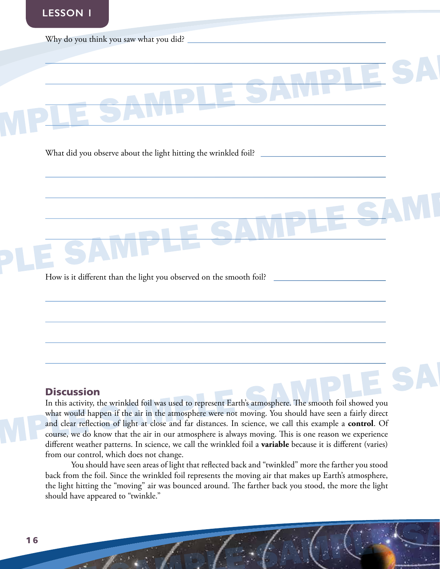

#### **Discussion**

In this activity, the wrinkled foil was used to represent Earth's atmosphere. The smooth foil showed you what would happen if the air in the atmosphere were not moving. You should have seen a fairly direct and clear reflection of light at close and far distances. In science, we call this example a **control**. Of course, we do know that the air in our atmosphere is always moving. This is one reason we experience different weather patterns. In science, we call the wrinkled foil a **variable** because it is different (varies) from our control, which does not change.

From our control, which does not change.<br>
You should have seen areas of light that reflected back and "twinkled" more the farther you stood<br>
back from the foil. Since the wrinkled foil represents the moving air that makes You should have seen areas of light that reflected back and "twinkled" more the farther you stood back from the foil. Since the wrinkled foil represents the moving air that makes up Earth's atmosphere, the light hitting the "moving" air was bounced around. The farther back you stood, the more the light should have appeared to "twinkle."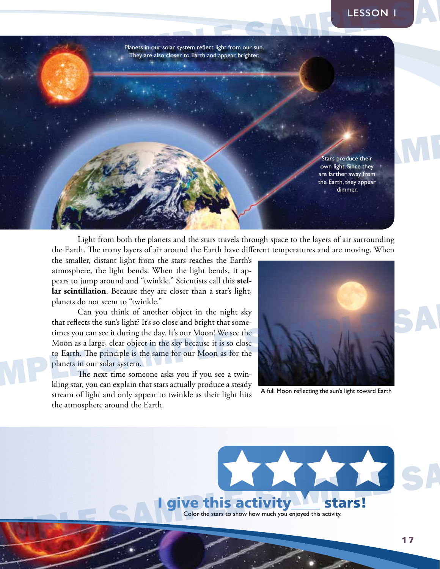Stars produce their complete Sheets they appear the Earth they appear the Earth way appear the Earth way appear<br>the Earth way appear the Earth Star Sheets of air surrounding<br>the Earth. The many layers of air around the Ear SAMPLE SAMPLE SAMPLE SAMPLE SAMPLE SAMPLE SAMPLE Planets in our solar system reflect light from our sun. They are also closer to Earth and appear brighter. Stars produce their own light. Since they are farther away from the Earth, they appear dimmer.

Light from both the planets and the stars travels through space to the layers of air surrounding the Earth. The many layers of air around the Earth have different temperatures and are moving. When

the smaller, distant light from the stars reaches the Earth's atmosphere, the light bends. When the light bends, it appears to jump around and "twinkle." Scientists call this **stellar scintillation**. Because they are closer than a star's light, planets do not seem to "twinkle."

Can you think of another object in the night sky that reflects the sun's light? It's so close and bright that sometimes you can see it during the day. It's our Moon! We see the Moon as a large, clear object in the sky because it is so close to Earth. The principle is the same for our Moon as for the planets in our solar system.

The next time someone asks you if you see a twinkling star, you can explain that stars actually produce a steady stream of light and only appear to twinkle as their light hits the atmosphere around the Earth.



A full Moon reflecting the sun's light toward Earth

give this activity<sup>1</sup> stars! Color the stars to show how much you enjoyed this activity. SAMPLE SAMPLE SAMPLE SAMPLE SAMPLE SAMPLE SAMPLE SAMPLE SAMPLE SAMPLE SAMPLE SAMPLE SAMPLE SAMPLE SAMPLE SAMPLE SAMPLE SAMPLE SAMPLE SAMPLE SAMPLE SAMPLE SAMPLE SAMPLE SAMPLE SAMPLE SAMPLE SAMPLE SAMPLE SAMPLE SAMPLE SAMPL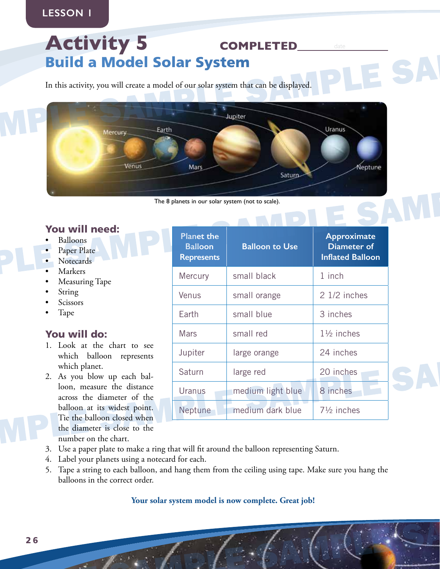# Activity 5 **COMPLETED** Build a Model Solar System

In this activity, you will create a model of our solar system that can be displayed.



The 8 planets in our solar system (not to scale).

## You will need:

- Balloons
- Paper Plate
- Notecards
- **Markers**
- Measuring Tape
- **String**
- **Scissors**
- Tape

## You will do:

- 1. Look at the chart to see which balloon represents which planet.
- 2. As you blow up each balloon, measure the distance across the diameter of the balloon at its widest point. Tie the balloon closed when the diameter is close to the number on the chart.

| · Balloons<br>• Paper Plate<br>• Notecards                                                                                                      | <b>Planet the</b><br><b>Balloon</b><br><b>Represents</b> | <b>Balloon to Use</b> | Approximate<br>Diameter of<br><b>Inflated Balloon</b> |
|-------------------------------------------------------------------------------------------------------------------------------------------------|----------------------------------------------------------|-----------------------|-------------------------------------------------------|
| • Markers<br>• Measuring Tape                                                                                                                   | Mercury                                                  | small black           | 1 inch                                                |
| • String<br>• Scissors                                                                                                                          | Venus                                                    | small orange          | 2 1/2 inches                                          |
| $\bullet$ Tape                                                                                                                                  | Earth                                                    | small blue            | 3 inches                                              |
| You will do:                                                                                                                                    | Mars                                                     | small red             | $1\frac{1}{2}$ inches                                 |
| 1. Look at the chart to see<br>which balloon represents                                                                                         | Jupiter                                                  | large orange          | 24 inches                                             |
| which planet.<br>2. As you blow up each bal-                                                                                                    | Saturn                                                   | large red             | 20 inches                                             |
| loon, measure the distance<br>across the diameter of the                                                                                        | Uranus                                                   | medium light blue     | 8 inches                                              |
| balloon at its widest point.<br>Tie the balloon closed when                                                                                     | Neptune                                                  | medium dark blue      | $7\frac{1}{2}$ inches                                 |
| the diameter is close to the<br>number on the chart.<br>3 Use a paper plate to make a ring that will fit around the balloon representing Saturn |                                                          |                       |                                                       |

- 3. Use a paper plate to make a ring that will fit around the balloon representing Saturn.
- 4. Label your planets using a notecard for each.
- S. Co as paper paint of make sum in the correct order.<br>
4. Label your planets using an otecard for each.<br>
5. Tape a string to each balloon, and hang them from the ceiling using tape. Make sure you hang the<br>
balloons in the 5. Tape a string to each balloon, and hang them from the ceiling using tape. Make sure you hang the balloons in the correct order.

#### **Your solar system model is now complete. Great job!**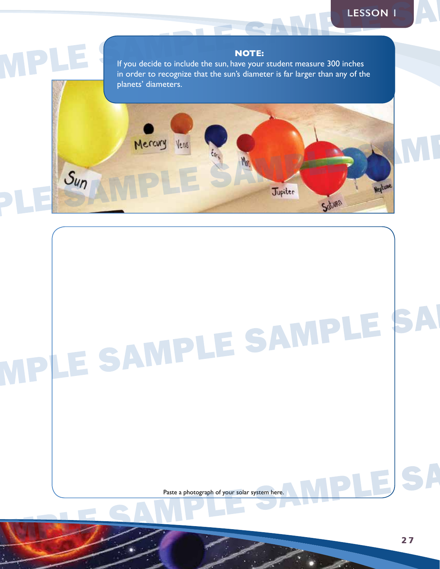#### **NOTE:**

If you decide to include the sun, have your student measure 300 inches in order to recognize that the sun's diameter is far larger than any of the planets' diameters.